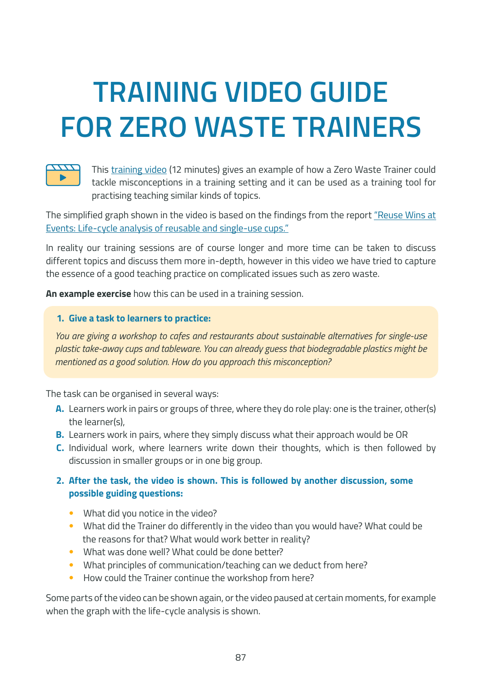## **TRAINING VIDEO GUIDE FOR ZERO WASTE TRAINERS**



This [training video](https://youtu.be/V2IMi-2-FTo) (12 minutes) gives an example of how a Zero Waste Trainer could tackle misconceptions in a training setting and it can be used as a training tool for practising teaching similar kinds of topics.

The simplified graph shown in the video is based on the findings from the report ["Reuse Wins at](https://upstreamsolutions.org/reuse-wins-at-events)  [Events: Life-cycle analysis of reusable and single-use cups."](https://upstreamsolutions.org/reuse-wins-at-events)

In reality our training sessions are of course longer and more time can be taken to discuss different topics and discuss them more in-depth, however in this video we have tried to capture the essence of a good teaching practice on complicated issues such as zero waste.

**An example exercise** how this can be used in a training session.

## **1. Give a task to learners to practice:**

*You are giving a workshop to cafes and restaurants about sustainable alternatives for single-use plastic take-away cups and tableware. You can already guess that biodegradable plastics might be mentioned as a good solution. How do you approach this misconception?*

The task can be organised in several ways:

- **A.** Learners work in pairs or groups of three, where they do role play: one is the trainer, other(s) the learner(s),
- **B.** Learners work in pairs, where they simply discuss what their approach would be OR
- **C.** Individual work, where learners write down their thoughts, which is then followed by discussion in smaller groups or in one big group.

## **2. After the task, the video is shown. This is followed by another discussion, some possible guiding questions:**

- What did you notice in the video?
- What did the Trainer do differently in the video than you would have? What could be the reasons for that? What would work better in reality?
- What was done well? What could be done better?
- What principles of communication/teaching can we deduct from here?
- How could the Trainer continue the workshop from here?

Some parts of the video can be shown again, or the video paused at certain moments, for example when the graph with the life-cycle analysis is shown.